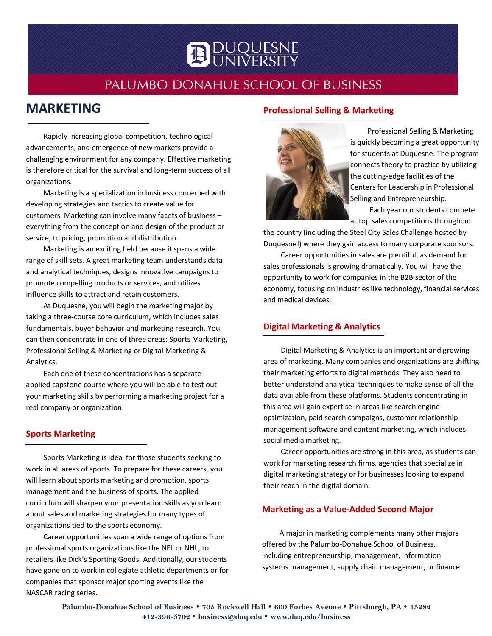

# PALUMBO-DONAHUE SCHOOL OF BUSINESS

# **MARKETING**

Rapidly increasing global competition, technological advancements, and emergence of new markets provide a challenging environment for any company. Effective marketing is therefore critical for the survival and long-term success of all organizations.

Marketing is a specialization in business concerned with developing strategies and tactics to create value for customers. Marketing can involve many facets of business – everything from the conception and design of the product or service, to pricing, promotion and distribution.

Marketing is an exciting field because it spans a wide range of skill sets. A great marketing team understands data and analytical techniques, designs innovative campaigns to promote compelling products or services, and utilizes influence skills to attract and retain customers.

At Duquesne, you will begin the marketing major by taking a three-course core curriculum, which includes sales fundamentals, buyer behavior and marketing research. You can then concentrate in one of three areas: Sports Marketing, Professional Selling & Marketing or Digital Marketing & Analytics.

Each one of these concentrations has a separate applied capstone course where you will be able to test out your marketing skills by performing a marketing project for a real company or organization.

#### **Sports Marketing**

Sports Marketing is ideal for those students seeking to work in all areas of sports. To prepare for these careers, you will learn about sports marketing and promotion, sports management and the business of sports. The applied curriculum will sharpen your presentation skills as you learn about sales and marketing strategies for many types of organizations tied to the sports economy.

Career opportunities span a wide range of options from professional sports organizations like the NFL or NHL, to retailers like Dick's Sporting Goods. Additionally, our students have gone on to work in collegiate athletic departments or for companies that sponsor major sporting events like the NASCAR racing series.

#### **Professional Selling & Marketing**



Professional Selling & Marketing is quickly becoming a great opportunity for students at Duquesne. The program connects theory to practice by utilizing the cutting-edge facilities of the Centers for Leadership in Professional Selling and Entrepreneurship.

Each year our students compete at top sales competitions throughout

the country (including the Steel City Sales Challenge hosted by Duquesne!) where they gain access to many corporate sponsors.

Career opportunities in sales are plentiful, as demand for sales professionals is growing dramatically. You will have the opportunity to work for companies in the B2B sector of the economy, focusing on industries like technology, financial services and medical devices.

### **Digital Marketing & Analytics**

Digital Marketing & Analytics is an important and growing area of marketing. Many companies and organizations are shifting their marketing efforts to digital methods. They also need to better understand analytical techniques to make sense of all the data available from these platforms. Students concentrating in this area will gain expertise in areas like search engine optimization, paid search campaigns, customer relationship management software and content marketing, which includes social media marketing.

Career opportunities are strong in this area, as students can work for marketing research firms, agencies that specialize in digital marketing strategy or for businesses looking to expand their reach in the digital domain.

#### **Marketing as a Value-Added Second Major**

A major in marketing complements many other majors offered by the Palumbo-Donahue School of Business, including entrepreneurship, management, information systems management, supply chain management, or finance.

**Palumbo-Donahue School of Business 705 Rockwell Hall 600 Forbes Avenue Pittsburgh, PA 15282 412-396-5702 [business@duq.edu](mailto:business@duq.edu) [www.duq.edu/business](http://www.duq.edu/business)**